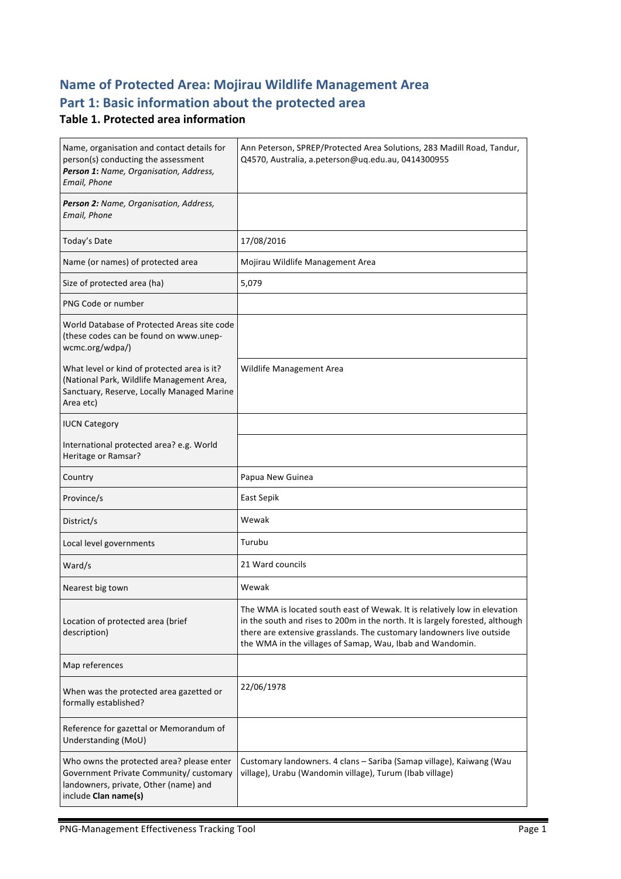# **Name of Protected Area: Mojirau Wildlife Management Area** Part 1: Basic information about the protected area

#### **Table 1. Protected area information**

| Name, organisation and contact details for<br>person(s) conducting the assessment<br>Person 1: Name, Organisation, Address,<br>Email, Phone           | Ann Peterson, SPREP/Protected Area Solutions, 283 Madill Road, Tandur,<br>Q4570, Australia, a.peterson@uq.edu.au, 0414300955                                                                                                                                                                     |
|-------------------------------------------------------------------------------------------------------------------------------------------------------|--------------------------------------------------------------------------------------------------------------------------------------------------------------------------------------------------------------------------------------------------------------------------------------------------|
| Person 2: Name, Organisation, Address,<br>Email, Phone                                                                                                |                                                                                                                                                                                                                                                                                                  |
| Today's Date                                                                                                                                          | 17/08/2016                                                                                                                                                                                                                                                                                       |
| Name (or names) of protected area                                                                                                                     | Mojirau Wildlife Management Area                                                                                                                                                                                                                                                                 |
| Size of protected area (ha)                                                                                                                           | 5,079                                                                                                                                                                                                                                                                                            |
| PNG Code or number                                                                                                                                    |                                                                                                                                                                                                                                                                                                  |
| World Database of Protected Areas site code<br>(these codes can be found on www.unep-<br>wcmc.org/wdpa/)                                              |                                                                                                                                                                                                                                                                                                  |
| What level or kind of protected area is it?<br>(National Park, Wildlife Management Area,<br>Sanctuary, Reserve, Locally Managed Marine<br>Area etc)   | Wildlife Management Area                                                                                                                                                                                                                                                                         |
| <b>IUCN Category</b>                                                                                                                                  |                                                                                                                                                                                                                                                                                                  |
| International protected area? e.g. World<br>Heritage or Ramsar?                                                                                       |                                                                                                                                                                                                                                                                                                  |
| Country                                                                                                                                               | Papua New Guinea                                                                                                                                                                                                                                                                                 |
| Province/s                                                                                                                                            | East Sepik                                                                                                                                                                                                                                                                                       |
| District/s                                                                                                                                            | Wewak                                                                                                                                                                                                                                                                                            |
| Local level governments                                                                                                                               | Turubu                                                                                                                                                                                                                                                                                           |
| Ward/s                                                                                                                                                | 21 Ward councils                                                                                                                                                                                                                                                                                 |
| Nearest big town                                                                                                                                      | Wewak                                                                                                                                                                                                                                                                                            |
| Location of protected area (brief<br>description)                                                                                                     | The WMA is located south east of Wewak. It is relatively low in elevation<br>in the south and rises to 200m in the north. It is largely forested, although<br>there are extensive grasslands. The customary landowners live outside<br>the WMA in the villages of Samap, Wau, Ibab and Wandomin. |
| Map references                                                                                                                                        |                                                                                                                                                                                                                                                                                                  |
| When was the protected area gazetted or<br>formally established?                                                                                      | 22/06/1978                                                                                                                                                                                                                                                                                       |
| Reference for gazettal or Memorandum of<br>Understanding (MoU)                                                                                        |                                                                                                                                                                                                                                                                                                  |
| Who owns the protected area? please enter<br>Government Private Community/ customary<br>landowners, private, Other (name) and<br>include Clan name(s) | Customary landowners. 4 clans - Sariba (Samap village), Kaiwang (Wau<br>village), Urabu (Wandomin village), Turum (Ibab village)                                                                                                                                                                 |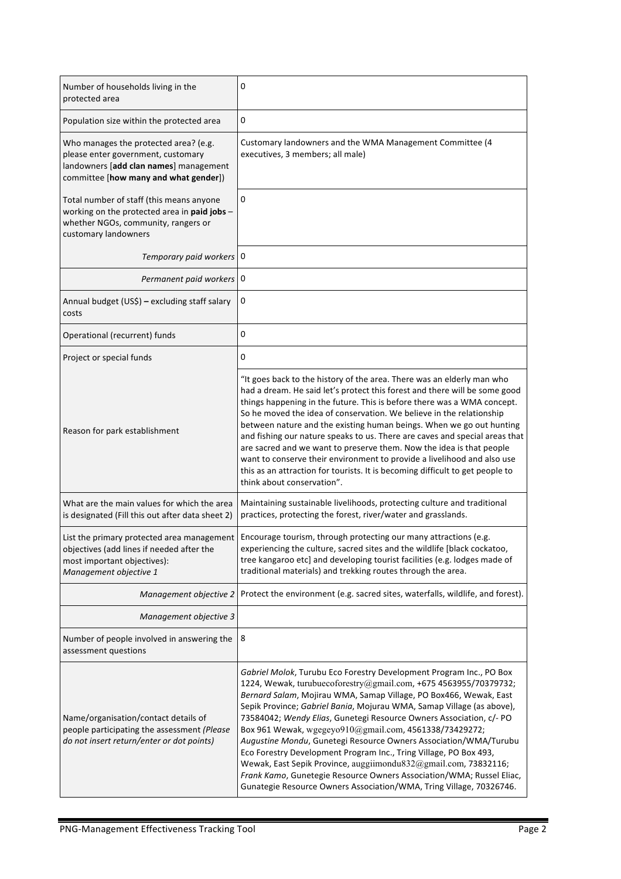| Number of households living in the<br>protected area                                                                                                           | 0                                                                                                                                                                                                                                                                                                                                                                                                                                                                                                                                                                                                                                                                                                                                                                                 |
|----------------------------------------------------------------------------------------------------------------------------------------------------------------|-----------------------------------------------------------------------------------------------------------------------------------------------------------------------------------------------------------------------------------------------------------------------------------------------------------------------------------------------------------------------------------------------------------------------------------------------------------------------------------------------------------------------------------------------------------------------------------------------------------------------------------------------------------------------------------------------------------------------------------------------------------------------------------|
| Population size within the protected area                                                                                                                      | 0                                                                                                                                                                                                                                                                                                                                                                                                                                                                                                                                                                                                                                                                                                                                                                                 |
| Who manages the protected area? (e.g.<br>please enter government, customary<br>landowners [add clan names] management<br>committee [how many and what gender]) | Customary landowners and the WMA Management Committee (4<br>executives, 3 members; all male)                                                                                                                                                                                                                                                                                                                                                                                                                                                                                                                                                                                                                                                                                      |
| Total number of staff (this means anyone<br>working on the protected area in paid jobs -<br>whether NGOs, community, rangers or<br>customary landowners        | 0                                                                                                                                                                                                                                                                                                                                                                                                                                                                                                                                                                                                                                                                                                                                                                                 |
| Temporary paid workers 0                                                                                                                                       |                                                                                                                                                                                                                                                                                                                                                                                                                                                                                                                                                                                                                                                                                                                                                                                   |
| Permanent paid workers 0                                                                                                                                       |                                                                                                                                                                                                                                                                                                                                                                                                                                                                                                                                                                                                                                                                                                                                                                                   |
| Annual budget (US\$) - excluding staff salary<br>costs                                                                                                         | 0                                                                                                                                                                                                                                                                                                                                                                                                                                                                                                                                                                                                                                                                                                                                                                                 |
| Operational (recurrent) funds                                                                                                                                  | 0                                                                                                                                                                                                                                                                                                                                                                                                                                                                                                                                                                                                                                                                                                                                                                                 |
| Project or special funds                                                                                                                                       | 0                                                                                                                                                                                                                                                                                                                                                                                                                                                                                                                                                                                                                                                                                                                                                                                 |
| Reason for park establishment                                                                                                                                  | "It goes back to the history of the area. There was an elderly man who<br>had a dream. He said let's protect this forest and there will be some good<br>things happening in the future. This is before there was a WMA concept.<br>So he moved the idea of conservation. We believe in the relationship<br>between nature and the existing human beings. When we go out hunting<br>and fishing our nature speaks to us. There are caves and special areas that<br>are sacred and we want to preserve them. Now the idea is that people<br>want to conserve their environment to provide a livelihood and also use<br>this as an attraction for tourists. It is becoming difficult to get people to<br>think about conservation".                                                  |
| What are the main values for which the area<br>is designated (Fill this out after data sheet 2)                                                                | Maintaining sustainable livelihoods, protecting culture and traditional<br>practices, protecting the forest, river/water and grasslands.                                                                                                                                                                                                                                                                                                                                                                                                                                                                                                                                                                                                                                          |
| List the primary protected area management<br>objectives (add lines if needed after the<br>most important objectives):<br>Management objective 1               | Encourage tourism, through protecting our many attractions (e.g.<br>experiencing the culture, sacred sites and the wildlife [black cockatoo,<br>tree kangaroo etc] and developing tourist facilities (e.g. lodges made of<br>traditional materials) and trekking routes through the area.                                                                                                                                                                                                                                                                                                                                                                                                                                                                                         |
| Management objective 2                                                                                                                                         | Protect the environment (e.g. sacred sites, waterfalls, wildlife, and forest).                                                                                                                                                                                                                                                                                                                                                                                                                                                                                                                                                                                                                                                                                                    |
| Management objective 3                                                                                                                                         |                                                                                                                                                                                                                                                                                                                                                                                                                                                                                                                                                                                                                                                                                                                                                                                   |
| Number of people involved in answering the<br>assessment questions                                                                                             | 8                                                                                                                                                                                                                                                                                                                                                                                                                                                                                                                                                                                                                                                                                                                                                                                 |
| Name/organisation/contact details of<br>people participating the assessment (Please<br>do not insert return/enter or dot points)                               | Gabriel Molok, Turubu Eco Forestry Development Program Inc., PO Box<br>1224, Wewak, turubuecoforestry@gmail.com, +675 4563955/70379732;<br>Bernard Salam, Mojirau WMA, Samap Village, PO Box466, Wewak, East<br>Sepik Province; Gabriel Bania, Mojurau WMA, Samap Village (as above),<br>73584042; Wendy Elias, Gunetegi Resource Owners Association, c/- PO<br>Box 961 Wewak, wgegeyo910@gmail.com, 4561338/73429272;<br>Augustine Mondu, Gunetegi Resource Owners Association/WMA/Turubu<br>Eco Forestry Development Program Inc., Tring Village, PO Box 493,<br>Wewak, East Sepik Province, auggiimondu832@gmail.com, 73832116;<br>Frank Kamo, Gunetegie Resource Owners Association/WMA; Russel Eliac,<br>Gunategie Resource Owners Association/WMA, Tring Village, 70326746. |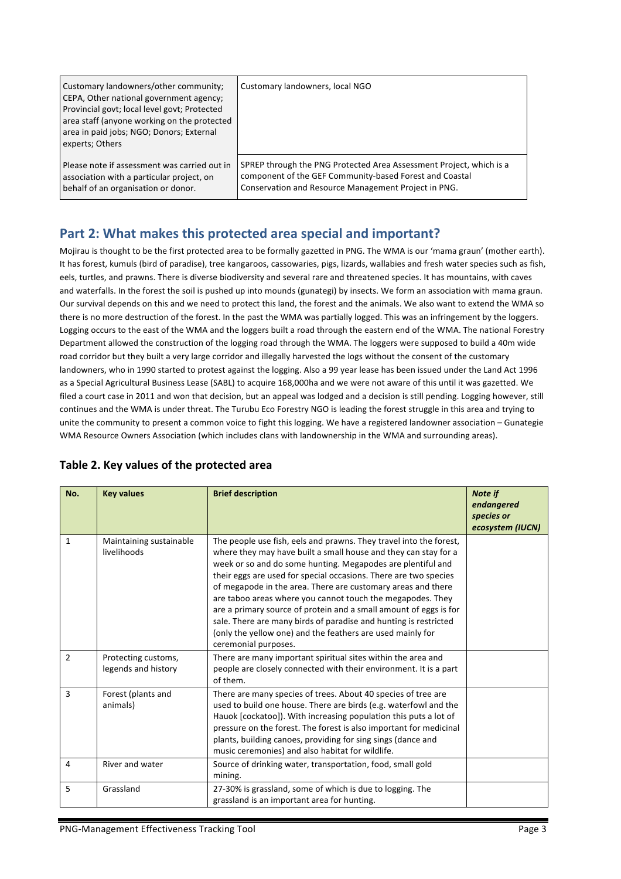| Customary landowners/other community;<br>CEPA, Other national government agency;<br>Provincial govt; local level govt; Protected<br>area staff (anyone working on the protected<br>area in paid jobs; NGO; Donors; External<br>experts; Others | Customary landowners, local NGO                                     |
|------------------------------------------------------------------------------------------------------------------------------------------------------------------------------------------------------------------------------------------------|---------------------------------------------------------------------|
| Please note if assessment was carried out in                                                                                                                                                                                                   | SPREP through the PNG Protected Area Assessment Project, which is a |
| association with a particular project, on                                                                                                                                                                                                      | component of the GEF Community-based Forest and Coastal             |
| behalf of an organisation or donor.                                                                                                                                                                                                            | Conservation and Resource Management Project in PNG.                |

### Part 2: What makes this protected area special and important?

Mojirau is thought to be the first protected area to be formally gazetted in PNG. The WMA is our 'mama graun' (mother earth). It has forest, kumuls (bird of paradise), tree kangaroos, cassowaries, pigs, lizards, wallabies and fresh water species such as fish, eels, turtles, and prawns. There is diverse biodiversity and several rare and threatened species. It has mountains, with caves and waterfalls. In the forest the soil is pushed up into mounds (gunategi) by insects. We form an association with mama graun. Our survival depends on this and we need to protect this land, the forest and the animals. We also want to extend the WMA so there is no more destruction of the forest. In the past the WMA was partially logged. This was an infringement by the loggers. Logging occurs to the east of the WMA and the loggers built a road through the eastern end of the WMA. The national Forestry Department allowed the construction of the logging road through the WMA. The loggers were supposed to build a 40m wide road corridor but they built a very large corridor and illegally harvested the logs without the consent of the customary landowners, who in 1990 started to protest against the logging. Also a 99 year lease has been issued under the Land Act 1996 as a Special Agricultural Business Lease (SABL) to acquire 168,000ha and we were not aware of this until it was gazetted. We filed a court case in 2011 and won that decision, but an appeal was lodged and a decision is still pending. Logging however, still continues and the WMA is under threat. The Turubu Eco Forestry NGO is leading the forest struggle in this area and trying to unite the community to present a common voice to fight this logging. We have a registered landowner association – Gunategie WMA Resource Owners Association (which includes clans with landownership in the WMA and surrounding areas).

| No.            | <b>Key values</b>                          | <b>Brief description</b>                                                                                                                                                                                                                                                                                                                                                                                                                                                                                                                                                                                                              | Note if<br>endangered<br>species or<br>ecosystem (IUCN) |
|----------------|--------------------------------------------|---------------------------------------------------------------------------------------------------------------------------------------------------------------------------------------------------------------------------------------------------------------------------------------------------------------------------------------------------------------------------------------------------------------------------------------------------------------------------------------------------------------------------------------------------------------------------------------------------------------------------------------|---------------------------------------------------------|
| $\mathbf{1}$   | Maintaining sustainable<br>livelihoods     | The people use fish, eels and prawns. They travel into the forest,<br>where they may have built a small house and they can stay for a<br>week or so and do some hunting. Megapodes are plentiful and<br>their eggs are used for special occasions. There are two species<br>of megapode in the area. There are customary areas and there<br>are taboo areas where you cannot touch the megapodes. They<br>are a primary source of protein and a small amount of eggs is for<br>sale. There are many birds of paradise and hunting is restricted<br>(only the yellow one) and the feathers are used mainly for<br>ceremonial purposes. |                                                         |
| $\overline{2}$ | Protecting customs,<br>legends and history | There are many important spiritual sites within the area and<br>people are closely connected with their environment. It is a part<br>of them.                                                                                                                                                                                                                                                                                                                                                                                                                                                                                         |                                                         |
| 3              | Forest (plants and<br>animals)             | There are many species of trees. About 40 species of tree are<br>used to build one house. There are birds (e.g. waterfowl and the<br>Hauok [cockatoo]). With increasing population this puts a lot of<br>pressure on the forest. The forest is also important for medicinal<br>plants, building canoes, providing for sing sings (dance and<br>music ceremonies) and also habitat for wildlife.                                                                                                                                                                                                                                       |                                                         |
| 4              | River and water                            | Source of drinking water, transportation, food, small gold<br>mining.                                                                                                                                                                                                                                                                                                                                                                                                                                                                                                                                                                 |                                                         |
| 5              | Grassland                                  | 27-30% is grassland, some of which is due to logging. The<br>grassland is an important area for hunting.                                                                                                                                                                                                                                                                                                                                                                                                                                                                                                                              |                                                         |

#### Table 2. Key values of the protected area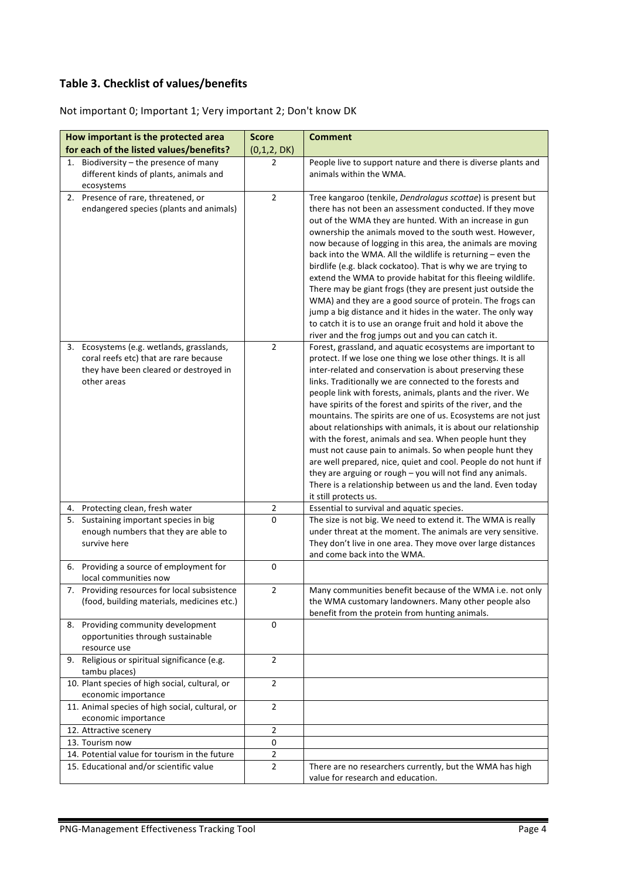# **Table 3. Checklist of values/benefits**

| How important is the protected area                                                               | <b>Score</b>   | <b>Comment</b>                                                                                                                |
|---------------------------------------------------------------------------------------------------|----------------|-------------------------------------------------------------------------------------------------------------------------------|
| for each of the listed values/benefits?                                                           | (0,1,2, DK)    |                                                                                                                               |
| Biodiversity - the presence of many<br>1.<br>different kinds of plants, animals and<br>ecosystems | 2              | People live to support nature and there is diverse plants and<br>animals within the WMA.                                      |
| 2. Presence of rare, threatened, or                                                               | $\overline{2}$ | Tree kangaroo (tenkile, Dendrolagus scottae) is present but                                                                   |
| endangered species (plants and animals)                                                           |                | there has not been an assessment conducted. If they move                                                                      |
|                                                                                                   |                | out of the WMA they are hunted. With an increase in gun                                                                       |
|                                                                                                   |                | ownership the animals moved to the south west. However,<br>now because of logging in this area, the animals are moving        |
|                                                                                                   |                | back into the WMA. All the wildlife is returning - even the                                                                   |
|                                                                                                   |                | birdlife (e.g. black cockatoo). That is why we are trying to                                                                  |
|                                                                                                   |                | extend the WMA to provide habitat for this fleeing wildlife.                                                                  |
|                                                                                                   |                | There may be giant frogs (they are present just outside the                                                                   |
|                                                                                                   |                | WMA) and they are a good source of protein. The frogs can                                                                     |
|                                                                                                   |                | jump a big distance and it hides in the water. The only way                                                                   |
|                                                                                                   |                | to catch it is to use an orange fruit and hold it above the<br>river and the frog jumps out and you can catch it.             |
| 3. Ecosystems (e.g. wetlands, grasslands,                                                         | $\overline{2}$ | Forest, grassland, and aquatic ecosystems are important to                                                                    |
| coral reefs etc) that are rare because                                                            |                | protect. If we lose one thing we lose other things. It is all                                                                 |
| they have been cleared or destroyed in                                                            |                | inter-related and conservation is about preserving these                                                                      |
| other areas                                                                                       |                | links. Traditionally we are connected to the forests and                                                                      |
|                                                                                                   |                | people link with forests, animals, plants and the river. We                                                                   |
|                                                                                                   |                | have spirits of the forest and spirits of the river, and the<br>mountains. The spirits are one of us. Ecosystems are not just |
|                                                                                                   |                | about relationships with animals, it is about our relationship                                                                |
|                                                                                                   |                | with the forest, animals and sea. When people hunt they                                                                       |
|                                                                                                   |                | must not cause pain to animals. So when people hunt they                                                                      |
|                                                                                                   |                | are well prepared, nice, quiet and cool. People do not hunt if                                                                |
|                                                                                                   |                | they are arguing or rough - you will not find any animals.                                                                    |
|                                                                                                   |                | There is a relationship between us and the land. Even today<br>it still protects us.                                          |
| 4. Protecting clean, fresh water                                                                  | $\overline{2}$ | Essential to survival and aquatic species.                                                                                    |
| Sustaining important species in big<br>5.                                                         | 0              | The size is not big. We need to extend it. The WMA is really                                                                  |
| enough numbers that they are able to                                                              |                | under threat at the moment. The animals are very sensitive.                                                                   |
| survive here                                                                                      |                | They don't live in one area. They move over large distances                                                                   |
| 6. Providing a source of employment for                                                           | 0              | and come back into the WMA.                                                                                                   |
| local communities now                                                                             |                |                                                                                                                               |
| 7. Providing resources for local subsistence                                                      | $\overline{2}$ | Many communities benefit because of the WMA i.e. not only                                                                     |
| (food, building materials, medicines etc.)                                                        |                | the WMA customary landowners. Many other people also                                                                          |
|                                                                                                   |                | benefit from the protein from hunting animals.                                                                                |
| Providing community development<br>8.                                                             | 0              |                                                                                                                               |
| opportunities through sustainable<br>resource use                                                 |                |                                                                                                                               |
| 9. Religious or spiritual significance (e.g.                                                      | $\overline{2}$ |                                                                                                                               |
| tambu places)                                                                                     |                |                                                                                                                               |
| 10. Plant species of high social, cultural, or                                                    | $\overline{2}$ |                                                                                                                               |
| economic importance                                                                               |                |                                                                                                                               |
| 11. Animal species of high social, cultural, or<br>economic importance                            | $\overline{2}$ |                                                                                                                               |
| 12. Attractive scenery                                                                            | 2              |                                                                                                                               |
| 13. Tourism now                                                                                   | 0              |                                                                                                                               |
| 14. Potential value for tourism in the future                                                     | 2              |                                                                                                                               |
| 15. Educational and/or scientific value                                                           | $\overline{2}$ | There are no researchers currently, but the WMA has high                                                                      |
|                                                                                                   |                | value for research and education.                                                                                             |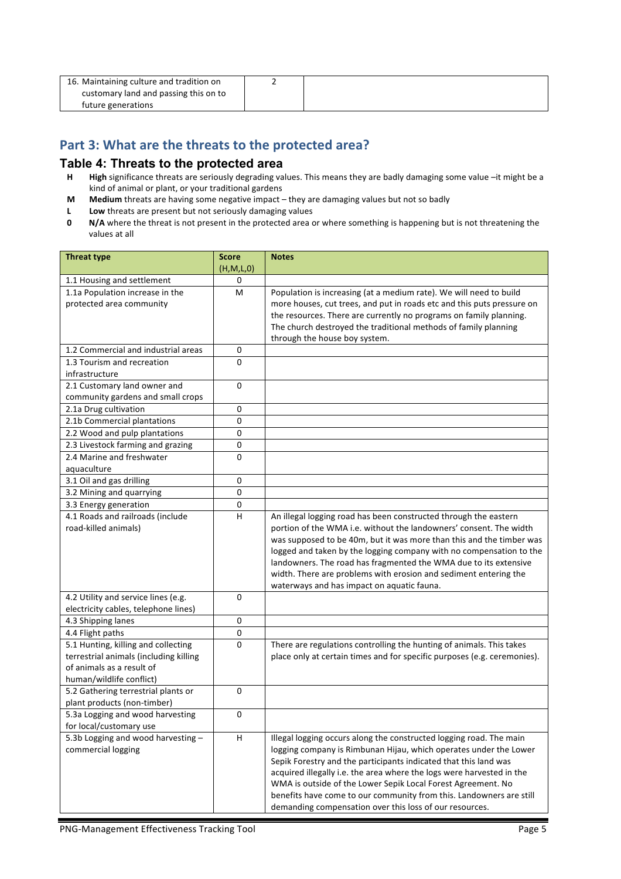| 16. Maintaining culture and tradition on |  |
|------------------------------------------|--|
| customary land and passing this on to    |  |
| future generations                       |  |

### Part 3: What are the threats to the protected area?

#### **Table 4: Threats to the protected area**

- **H High** significance threats are seriously degrading values. This means they are badly damaging some value –it might be a kind of animal or plant, or your traditional gardens
- **M** Medium threats are having some negative impact they are damaging values but not so badly
- **L** Low threats are present but not seriously damaging values<br>**0** N/A where the threat is not present in the protected area of
- **N/A** where the threat is not present in the protected area or where something is happening but is not threatening the values at all

| <b>Threat type</b>                     | <b>Score</b> | <b>Notes</b>                                                             |
|----------------------------------------|--------------|--------------------------------------------------------------------------|
|                                        | (H,M,L,0)    |                                                                          |
| 1.1 Housing and settlement             | 0            |                                                                          |
| 1.1a Population increase in the        | м            | Population is increasing (at a medium rate). We will need to build       |
| protected area community               |              | more houses, cut trees, and put in roads etc and this puts pressure on   |
|                                        |              | the resources. There are currently no programs on family planning.       |
|                                        |              | The church destroyed the traditional methods of family planning          |
|                                        |              | through the house boy system.                                            |
| 1.2 Commercial and industrial areas    | 0            |                                                                          |
| 1.3 Tourism and recreation             | $\Omega$     |                                                                          |
| infrastructure                         |              |                                                                          |
| 2.1 Customary land owner and           | $\Omega$     |                                                                          |
| community gardens and small crops      |              |                                                                          |
| 2.1a Drug cultivation                  | 0            |                                                                          |
| 2.1b Commercial plantations            | 0            |                                                                          |
| 2.2 Wood and pulp plantations          | 0            |                                                                          |
| 2.3 Livestock farming and grazing      | $\mathbf 0$  |                                                                          |
| 2.4 Marine and freshwater              | 0            |                                                                          |
| aquaculture                            |              |                                                                          |
| 3.1 Oil and gas drilling               | 0            |                                                                          |
| 3.2 Mining and quarrying               | $\mathbf 0$  |                                                                          |
| 3.3 Energy generation                  | 0            |                                                                          |
| 4.1 Roads and railroads (include       | H            | An illegal logging road has been constructed through the eastern         |
| road-killed animals)                   |              | portion of the WMA i.e. without the landowners' consent. The width       |
|                                        |              | was supposed to be 40m, but it was more than this and the timber was     |
|                                        |              | logged and taken by the logging company with no compensation to the      |
|                                        |              | landowners. The road has fragmented the WMA due to its extensive         |
|                                        |              | width. There are problems with erosion and sediment entering the         |
|                                        |              | waterways and has impact on aquatic fauna.                               |
| 4.2 Utility and service lines (e.g.    | 0            |                                                                          |
| electricity cables, telephone lines)   |              |                                                                          |
| 4.3 Shipping lanes                     | $\mathbf 0$  |                                                                          |
| 4.4 Flight paths                       | $\mathbf 0$  |                                                                          |
| 5.1 Hunting, killing and collecting    | 0            | There are regulations controlling the hunting of animals. This takes     |
| terrestrial animals (including killing |              | place only at certain times and for specific purposes (e.g. ceremonies). |
| of animals as a result of              |              |                                                                          |
| human/wildlife conflict)               |              |                                                                          |
| 5.2 Gathering terrestrial plants or    | 0            |                                                                          |
| plant products (non-timber)            |              |                                                                          |
| 5.3a Logging and wood harvesting       | 0            |                                                                          |
| for local/customary use                |              |                                                                          |
| 5.3b Logging and wood harvesting -     | H            | Illegal logging occurs along the constructed logging road. The main      |
| commercial logging                     |              | logging company is Rimbunan Hijau, which operates under the Lower        |
|                                        |              | Sepik Forestry and the participants indicated that this land was         |
|                                        |              | acquired illegally i.e. the area where the logs were harvested in the    |
|                                        |              | WMA is outside of the Lower Sepik Local Forest Agreement. No             |
|                                        |              | benefits have come to our community from this. Landowners are still      |
|                                        |              | demanding compensation over this loss of our resources.                  |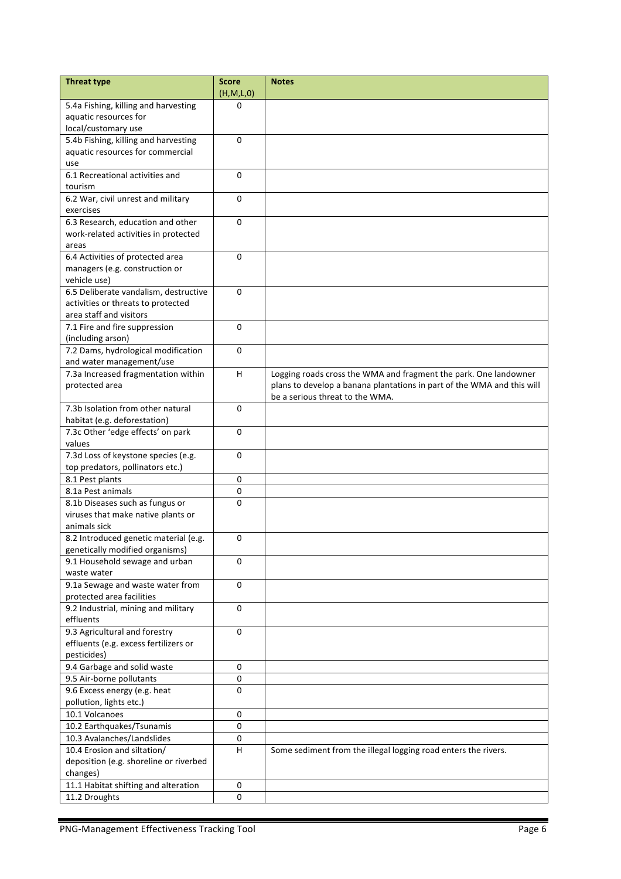| <b>Threat type</b>                               | <b>Score</b><br>(H,M,L,0) | <b>Notes</b>                                                           |
|--------------------------------------------------|---------------------------|------------------------------------------------------------------------|
| 5.4a Fishing, killing and harvesting             | 0                         |                                                                        |
| aquatic resources for                            |                           |                                                                        |
| local/customary use                              |                           |                                                                        |
| 5.4b Fishing, killing and harvesting             | 0                         |                                                                        |
| aquatic resources for commercial                 |                           |                                                                        |
| use                                              |                           |                                                                        |
| 6.1 Recreational activities and                  | $\Omega$                  |                                                                        |
| tourism<br>6.2 War, civil unrest and military    | 0                         |                                                                        |
| exercises                                        |                           |                                                                        |
| 6.3 Research, education and other                | 0                         |                                                                        |
| work-related activities in protected             |                           |                                                                        |
| areas                                            |                           |                                                                        |
| 6.4 Activities of protected area                 | 0                         |                                                                        |
| managers (e.g. construction or                   |                           |                                                                        |
| vehicle use)                                     |                           |                                                                        |
| 6.5 Deliberate vandalism, destructive            | $\Omega$                  |                                                                        |
| activities or threats to protected               |                           |                                                                        |
| area staff and visitors                          |                           |                                                                        |
| 7.1 Fire and fire suppression                    | 0                         |                                                                        |
| (including arson)                                |                           |                                                                        |
| 7.2 Dams, hydrological modification              | $\mathbf 0$               |                                                                        |
| and water management/use                         |                           |                                                                        |
| 7.3a Increased fragmentation within              | H                         | Logging roads cross the WMA and fragment the park. One landowner       |
| protected area                                   |                           | plans to develop a banana plantations in part of the WMA and this will |
| 7.3b Isolation from other natural                |                           | be a serious threat to the WMA.                                        |
| habitat (e.g. deforestation)                     | 0                         |                                                                        |
| 7.3c Other 'edge effects' on park                | 0                         |                                                                        |
| values                                           |                           |                                                                        |
| 7.3d Loss of keystone species (e.g.              | 0                         |                                                                        |
| top predators, pollinators etc.)                 |                           |                                                                        |
| 8.1 Pest plants                                  | 0                         |                                                                        |
| 8.1a Pest animals                                | $\pmb{0}$                 |                                                                        |
| 8.1b Diseases such as fungus or                  | 0                         |                                                                        |
| viruses that make native plants or               |                           |                                                                        |
| animals sick                                     |                           |                                                                        |
| 8.2 Introduced genetic material (e.g.            | 0                         |                                                                        |
| genetically modified organisms)                  |                           |                                                                        |
| 9.1 Household sewage and urban                   | 0                         |                                                                        |
| waste water                                      |                           |                                                                        |
| 9.1a Sewage and waste water from                 | $\mathbf 0$               |                                                                        |
| protected area facilities                        |                           |                                                                        |
| 9.2 Industrial, mining and military<br>effluents | 0                         |                                                                        |
| 9.3 Agricultural and forestry                    | 0                         |                                                                        |
| effluents (e.g. excess fertilizers or            |                           |                                                                        |
| pesticides)                                      |                           |                                                                        |
| 9.4 Garbage and solid waste                      | 0                         |                                                                        |
| 9.5 Air-borne pollutants                         | 0                         |                                                                        |
| 9.6 Excess energy (e.g. heat                     | 0                         |                                                                        |
| pollution, lights etc.)                          |                           |                                                                        |
| 10.1 Volcanoes                                   | 0                         |                                                                        |
| 10.2 Earthquakes/Tsunamis                        | 0                         |                                                                        |
| 10.3 Avalanches/Landslides                       | 0                         |                                                                        |
| 10.4 Erosion and siltation/                      | $\boldsymbol{\mathsf{H}}$ | Some sediment from the illegal logging road enters the rivers.         |
| deposition (e.g. shoreline or riverbed           |                           |                                                                        |
| changes)                                         |                           |                                                                        |
| 11.1 Habitat shifting and alteration             | 0                         |                                                                        |
| 11.2 Droughts                                    | 0                         |                                                                        |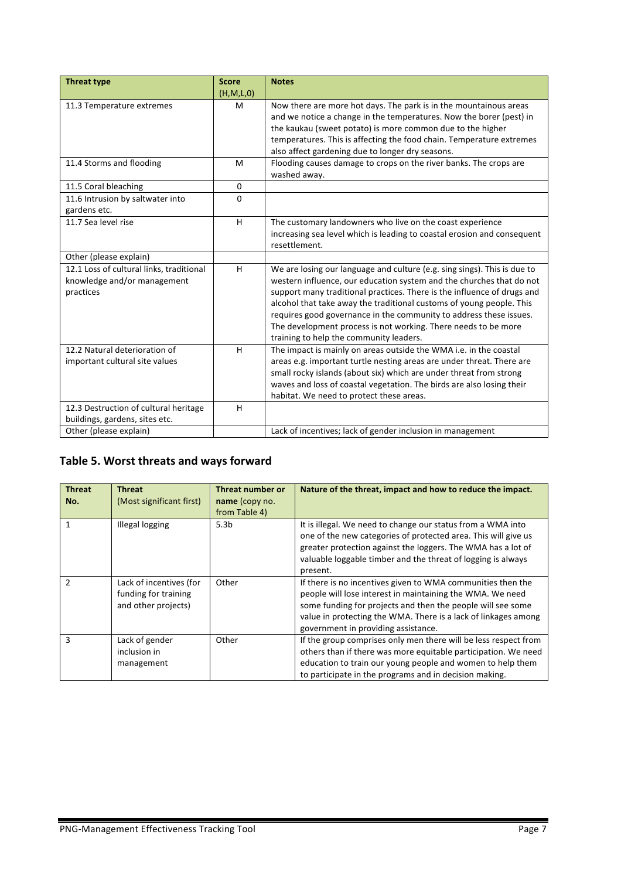| <b>Threat type</b>                                                                   | <b>Score</b> | <b>Notes</b>                                                                                                                                                                                                                                                                                                                                                                                                                                                                           |
|--------------------------------------------------------------------------------------|--------------|----------------------------------------------------------------------------------------------------------------------------------------------------------------------------------------------------------------------------------------------------------------------------------------------------------------------------------------------------------------------------------------------------------------------------------------------------------------------------------------|
|                                                                                      | (H,M,L,0)    |                                                                                                                                                                                                                                                                                                                                                                                                                                                                                        |
| 11.3 Temperature extremes                                                            | M            | Now there are more hot days. The park is in the mountainous areas<br>and we notice a change in the temperatures. Now the borer (pest) in<br>the kaukau (sweet potato) is more common due to the higher<br>temperatures. This is affecting the food chain. Temperature extremes<br>also affect gardening due to longer dry seasons.                                                                                                                                                     |
| 11.4 Storms and flooding                                                             | M            | Flooding causes damage to crops on the river banks. The crops are<br>washed away.                                                                                                                                                                                                                                                                                                                                                                                                      |
| 11.5 Coral bleaching                                                                 | $\mathbf{0}$ |                                                                                                                                                                                                                                                                                                                                                                                                                                                                                        |
| 11.6 Intrusion by saltwater into<br>gardens etc.                                     | $\Omega$     |                                                                                                                                                                                                                                                                                                                                                                                                                                                                                        |
| 11.7 Sea level rise                                                                  | H            | The customary landowners who live on the coast experience<br>increasing sea level which is leading to coastal erosion and consequent<br>resettlement.                                                                                                                                                                                                                                                                                                                                  |
| Other (please explain)                                                               |              |                                                                                                                                                                                                                                                                                                                                                                                                                                                                                        |
| 12.1 Loss of cultural links, traditional<br>knowledge and/or management<br>practices | H            | We are losing our language and culture (e.g. sing sings). This is due to<br>western influence, our education system and the churches that do not<br>support many traditional practices. There is the influence of drugs and<br>alcohol that take away the traditional customs of young people. This<br>requires good governance in the community to address these issues.<br>The development process is not working. There needs to be more<br>training to help the community leaders. |
| 12.2 Natural deterioration of<br>important cultural site values                      | H            | The impact is mainly on areas outside the WMA i.e. in the coastal<br>areas e.g. important turtle nesting areas are under threat. There are<br>small rocky islands (about six) which are under threat from strong<br>waves and loss of coastal vegetation. The birds are also losing their<br>habitat. We need to protect these areas.                                                                                                                                                  |
| 12.3 Destruction of cultural heritage<br>buildings, gardens, sites etc.              | H            |                                                                                                                                                                                                                                                                                                                                                                                                                                                                                        |
| Other (please explain)                                                               |              | Lack of incentives; lack of gender inclusion in management                                                                                                                                                                                                                                                                                                                                                                                                                             |

### Table 5. Worst threats and ways forward

| <b>Threat</b><br>No. | Threat<br>(Most significant first)                                     | Threat number or<br>name (copy no.<br>from Table 4) | Nature of the threat, impact and how to reduce the impact.                                                                                                                                                                                                                                       |
|----------------------|------------------------------------------------------------------------|-----------------------------------------------------|--------------------------------------------------------------------------------------------------------------------------------------------------------------------------------------------------------------------------------------------------------------------------------------------------|
| 1                    | <b>Illegal logging</b>                                                 | 5.3 <sub>b</sub>                                    | It is illegal. We need to change our status from a WMA into<br>one of the new categories of protected area. This will give us<br>greater protection against the loggers. The WMA has a lot of<br>valuable loggable timber and the threat of logging is always<br>present.                        |
| $\mathcal{P}$        | Lack of incentives (for<br>funding for training<br>and other projects) | Other                                               | If there is no incentives given to WMA communities then the<br>people will lose interest in maintaining the WMA. We need<br>some funding for projects and then the people will see some<br>value in protecting the WMA. There is a lack of linkages among<br>government in providing assistance. |
| 3                    | Lack of gender<br>inclusion in<br>management                           | Other                                               | If the group comprises only men there will be less respect from<br>others than if there was more equitable participation. We need<br>education to train our young people and women to help them<br>to participate in the programs and in decision making.                                        |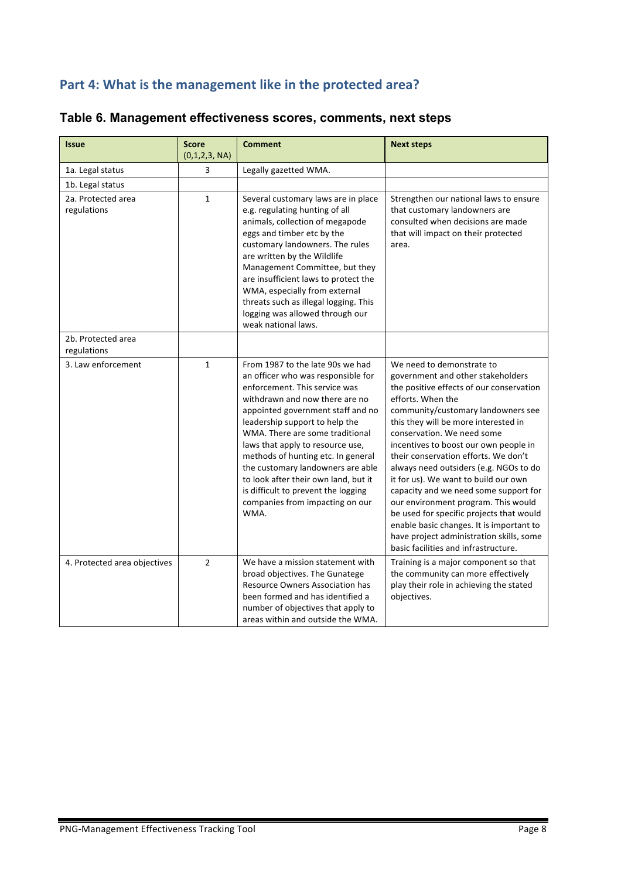# Part 4: What is the management like in the protected area?

| <b>Issue</b>                      | <b>Score</b><br>(0,1,2,3, NA) | <b>Comment</b>                                                                                                                                                                                                                                                                                                                                                                                                                                                                               | <b>Next steps</b>                                                                                                                                                                                                                                                                                                                                                                                                                                                                                                                                                                                                                                                          |
|-----------------------------------|-------------------------------|----------------------------------------------------------------------------------------------------------------------------------------------------------------------------------------------------------------------------------------------------------------------------------------------------------------------------------------------------------------------------------------------------------------------------------------------------------------------------------------------|----------------------------------------------------------------------------------------------------------------------------------------------------------------------------------------------------------------------------------------------------------------------------------------------------------------------------------------------------------------------------------------------------------------------------------------------------------------------------------------------------------------------------------------------------------------------------------------------------------------------------------------------------------------------------|
| 1a. Legal status                  | 3                             | Legally gazetted WMA.                                                                                                                                                                                                                                                                                                                                                                                                                                                                        |                                                                                                                                                                                                                                                                                                                                                                                                                                                                                                                                                                                                                                                                            |
| 1b. Legal status                  |                               |                                                                                                                                                                                                                                                                                                                                                                                                                                                                                              |                                                                                                                                                                                                                                                                                                                                                                                                                                                                                                                                                                                                                                                                            |
| 2a. Protected area<br>regulations | $\mathbf{1}$                  | Several customary laws are in place<br>e.g. regulating hunting of all<br>animals, collection of megapode<br>eggs and timber etc by the<br>customary landowners. The rules<br>are written by the Wildlife<br>Management Committee, but they<br>are insufficient laws to protect the<br>WMA, especially from external<br>threats such as illegal logging. This<br>logging was allowed through our<br>weak national laws.                                                                       | Strengthen our national laws to ensure<br>that customary landowners are<br>consulted when decisions are made<br>that will impact on their protected<br>area.                                                                                                                                                                                                                                                                                                                                                                                                                                                                                                               |
| 2b. Protected area<br>regulations |                               |                                                                                                                                                                                                                                                                                                                                                                                                                                                                                              |                                                                                                                                                                                                                                                                                                                                                                                                                                                                                                                                                                                                                                                                            |
| 3. Law enforcement                | $\mathbf{1}$                  | From 1987 to the late 90s we had<br>an officer who was responsible for<br>enforcement. This service was<br>withdrawn and now there are no<br>appointed government staff and no<br>leadership support to help the<br>WMA. There are some traditional<br>laws that apply to resource use,<br>methods of hunting etc. In general<br>the customary landowners are able<br>to look after their own land, but it<br>is difficult to prevent the logging<br>companies from impacting on our<br>WMA. | We need to demonstrate to<br>government and other stakeholders<br>the positive effects of our conservation<br>efforts. When the<br>community/customary landowners see<br>this they will be more interested in<br>conservation. We need some<br>incentives to boost our own people in<br>their conservation efforts. We don't<br>always need outsiders (e.g. NGOs to do<br>it for us). We want to build our own<br>capacity and we need some support for<br>our environment program. This would<br>be used for specific projects that would<br>enable basic changes. It is important to<br>have project administration skills, some<br>basic facilities and infrastructure. |
| 4. Protected area objectives      | $\overline{2}$                | We have a mission statement with<br>broad objectives. The Gunatege<br>Resource Owners Association has<br>been formed and has identified a<br>number of objectives that apply to<br>areas within and outside the WMA.                                                                                                                                                                                                                                                                         | Training is a major component so that<br>the community can more effectively<br>play their role in achieving the stated<br>objectives.                                                                                                                                                                                                                                                                                                                                                                                                                                                                                                                                      |

# **Table 6. Management effectiveness scores, comments, next steps**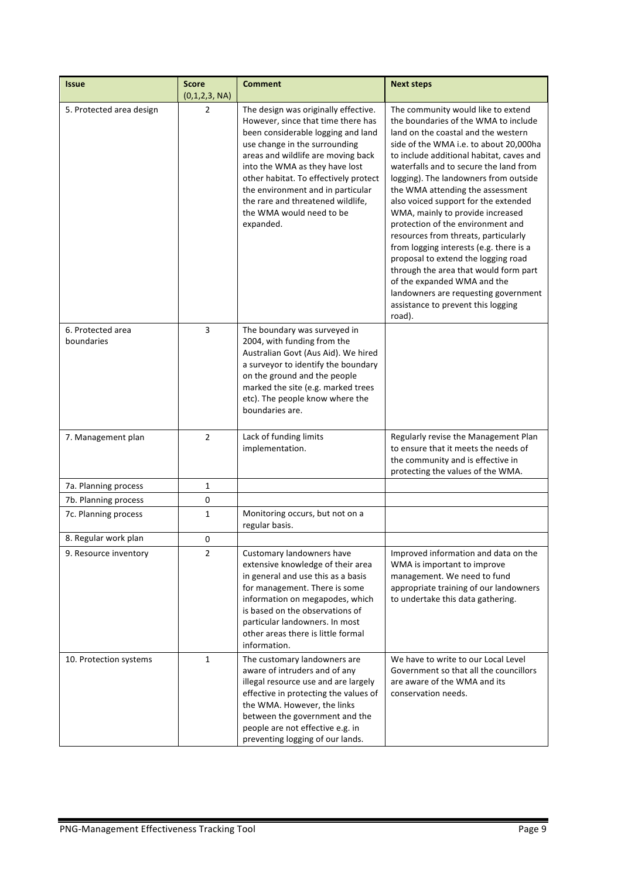| <b>Issue</b>                    | <b>Score</b><br>(0,1,2,3, NA) | <b>Comment</b>                                                                                                                                                                                                                                                                                                                                                                        | <b>Next steps</b>                                                                                                                                                                                                                                                                                                                                                                                                                                                                                                                                                                                                                                                                                                                         |
|---------------------------------|-------------------------------|---------------------------------------------------------------------------------------------------------------------------------------------------------------------------------------------------------------------------------------------------------------------------------------------------------------------------------------------------------------------------------------|-------------------------------------------------------------------------------------------------------------------------------------------------------------------------------------------------------------------------------------------------------------------------------------------------------------------------------------------------------------------------------------------------------------------------------------------------------------------------------------------------------------------------------------------------------------------------------------------------------------------------------------------------------------------------------------------------------------------------------------------|
| 5. Protected area design        | 2                             | The design was originally effective.<br>However, since that time there has<br>been considerable logging and land<br>use change in the surrounding<br>areas and wildlife are moving back<br>into the WMA as they have lost<br>other habitat. To effectively protect<br>the environment and in particular<br>the rare and threatened wildlife,<br>the WMA would need to be<br>expanded. | The community would like to extend<br>the boundaries of the WMA to include<br>land on the coastal and the western<br>side of the WMA i.e. to about 20,000ha<br>to include additional habitat, caves and<br>waterfalls and to secure the land from<br>logging). The landowners from outside<br>the WMA attending the assessment<br>also voiced support for the extended<br>WMA, mainly to provide increased<br>protection of the environment and<br>resources from threats, particularly<br>from logging interests (e.g. there is a<br>proposal to extend the logging road<br>through the area that would form part<br>of the expanded WMA and the<br>landowners are requesting government<br>assistance to prevent this logging<br>road). |
| 6. Protected area<br>boundaries | 3                             | The boundary was surveyed in<br>2004, with funding from the<br>Australian Govt (Aus Aid). We hired<br>a surveyor to identify the boundary<br>on the ground and the people<br>marked the site (e.g. marked trees<br>etc). The people know where the<br>boundaries are.                                                                                                                 |                                                                                                                                                                                                                                                                                                                                                                                                                                                                                                                                                                                                                                                                                                                                           |
| 7. Management plan              | $\overline{2}$                | Lack of funding limits<br>implementation.                                                                                                                                                                                                                                                                                                                                             | Regularly revise the Management Plan<br>to ensure that it meets the needs of<br>the community and is effective in<br>protecting the values of the WMA.                                                                                                                                                                                                                                                                                                                                                                                                                                                                                                                                                                                    |
| 7a. Planning process            | 1                             |                                                                                                                                                                                                                                                                                                                                                                                       |                                                                                                                                                                                                                                                                                                                                                                                                                                                                                                                                                                                                                                                                                                                                           |
| 7b. Planning process            | 0                             |                                                                                                                                                                                                                                                                                                                                                                                       |                                                                                                                                                                                                                                                                                                                                                                                                                                                                                                                                                                                                                                                                                                                                           |
| 7c. Planning process            | 1                             | Monitoring occurs, but not on a<br>regular basis.                                                                                                                                                                                                                                                                                                                                     |                                                                                                                                                                                                                                                                                                                                                                                                                                                                                                                                                                                                                                                                                                                                           |
| 8. Regular work plan            | 0                             |                                                                                                                                                                                                                                                                                                                                                                                       |                                                                                                                                                                                                                                                                                                                                                                                                                                                                                                                                                                                                                                                                                                                                           |
| 9. Resource inventory           | $\overline{2}$                | Customary landowners have<br>extensive knowledge of their area<br>in general and use this as a basis<br>for management. There is some<br>information on megapodes, which<br>is based on the observations of<br>particular landowners. In most<br>other areas there is little formal<br>information.                                                                                   | Improved information and data on the<br>WMA is important to improve<br>management. We need to fund<br>appropriate training of our landowners<br>to undertake this data gathering.                                                                                                                                                                                                                                                                                                                                                                                                                                                                                                                                                         |
| 10. Protection systems          | $\mathbf{1}$                  | The customary landowners are<br>aware of intruders and of any<br>illegal resource use and are largely<br>effective in protecting the values of<br>the WMA. However, the links<br>between the government and the<br>people are not effective e.g. in<br>preventing logging of our lands.                                                                                               | We have to write to our Local Level<br>Government so that all the councillors<br>are aware of the WMA and its<br>conservation needs.                                                                                                                                                                                                                                                                                                                                                                                                                                                                                                                                                                                                      |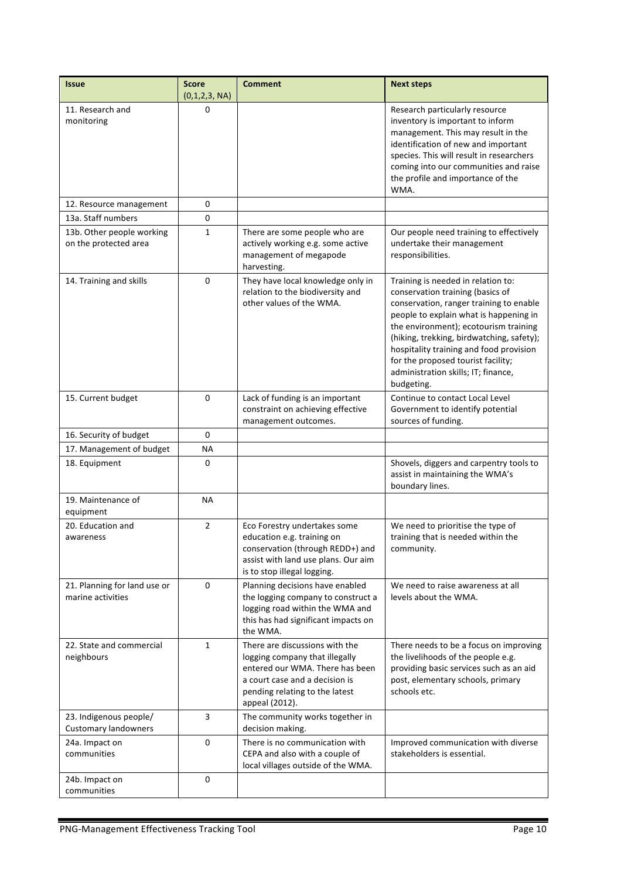| <b>Issue</b>                                          | <b>Score</b><br>(0,1,2,3, NA) | <b>Comment</b>                                                                                                                                                                            | <b>Next steps</b>                                                                                                                                                                                                                                                                                                                                                                       |  |
|-------------------------------------------------------|-------------------------------|-------------------------------------------------------------------------------------------------------------------------------------------------------------------------------------------|-----------------------------------------------------------------------------------------------------------------------------------------------------------------------------------------------------------------------------------------------------------------------------------------------------------------------------------------------------------------------------------------|--|
| 11. Research and<br>monitoring                        | 0                             |                                                                                                                                                                                           | Research particularly resource<br>inventory is important to inform<br>management. This may result in the<br>identification of new and important<br>species. This will result in researchers<br>coming into our communities and raise<br>the profile and importance of the<br>WMA.                                                                                                       |  |
| 12. Resource management                               | 0                             |                                                                                                                                                                                           |                                                                                                                                                                                                                                                                                                                                                                                         |  |
| 13a. Staff numbers                                    | 0                             |                                                                                                                                                                                           |                                                                                                                                                                                                                                                                                                                                                                                         |  |
| 13b. Other people working<br>on the protected area    | $\mathbf{1}$                  | There are some people who are<br>actively working e.g. some active<br>management of megapode<br>harvesting.                                                                               | Our people need training to effectively<br>undertake their management<br>responsibilities.                                                                                                                                                                                                                                                                                              |  |
| 14. Training and skills                               | $\Omega$                      | They have local knowledge only in<br>relation to the biodiversity and<br>other values of the WMA.                                                                                         | Training is needed in relation to:<br>conservation training (basics of<br>conservation, ranger training to enable<br>people to explain what is happening in<br>the environment); ecotourism training<br>(hiking, trekking, birdwatching, safety);<br>hospitality training and food provision<br>for the proposed tourist facility;<br>administration skills; IT; finance,<br>budgeting. |  |
| 15. Current budget                                    | 0                             | Lack of funding is an important<br>constraint on achieving effective<br>management outcomes.                                                                                              | Continue to contact Local Level<br>Government to identify potential<br>sources of funding.                                                                                                                                                                                                                                                                                              |  |
| 16. Security of budget                                | 0                             |                                                                                                                                                                                           |                                                                                                                                                                                                                                                                                                                                                                                         |  |
| 17. Management of budget                              | ΝA                            |                                                                                                                                                                                           |                                                                                                                                                                                                                                                                                                                                                                                         |  |
| 18. Equipment                                         | 0                             |                                                                                                                                                                                           | Shovels, diggers and carpentry tools to<br>assist in maintaining the WMA's<br>boundary lines.                                                                                                                                                                                                                                                                                           |  |
| 19. Maintenance of<br>equipment                       | <b>NA</b>                     |                                                                                                                                                                                           |                                                                                                                                                                                                                                                                                                                                                                                         |  |
| 20. Education and<br>awareness                        | $\overline{2}$                | Eco Forestry undertakes some<br>education e.g. training on<br>conservation (through REDD+) and<br>assist with land use plans. Our aim<br>is to stop illegal logging.                      | We need to prioritise the type of<br>training that is needed within the<br>community.                                                                                                                                                                                                                                                                                                   |  |
| 21. Planning for land use or<br>marine activities     | 0                             | Planning decisions have enabled<br>the logging company to construct a<br>logging road within the WMA and<br>this has had significant impacts on<br>the WMA.                               | We need to raise awareness at all<br>levels about the WMA.                                                                                                                                                                                                                                                                                                                              |  |
| 22. State and commercial<br>neighbours                | $\mathbf{1}$                  | There are discussions with the<br>logging company that illegally<br>entered our WMA. There has been<br>a court case and a decision is<br>pending relating to the latest<br>appeal (2012). | There needs to be a focus on improving<br>the livelihoods of the people e.g.<br>providing basic services such as an aid<br>post, elementary schools, primary<br>schools etc.                                                                                                                                                                                                            |  |
| 23. Indigenous people/<br><b>Customary landowners</b> | 3                             | The community works together in<br>decision making.                                                                                                                                       |                                                                                                                                                                                                                                                                                                                                                                                         |  |
| 24a. Impact on<br>communities                         | 0                             | There is no communication with<br>CEPA and also with a couple of<br>local villages outside of the WMA.                                                                                    | Improved communication with diverse<br>stakeholders is essential.                                                                                                                                                                                                                                                                                                                       |  |
| 24b. Impact on<br>communities                         | 0                             |                                                                                                                                                                                           |                                                                                                                                                                                                                                                                                                                                                                                         |  |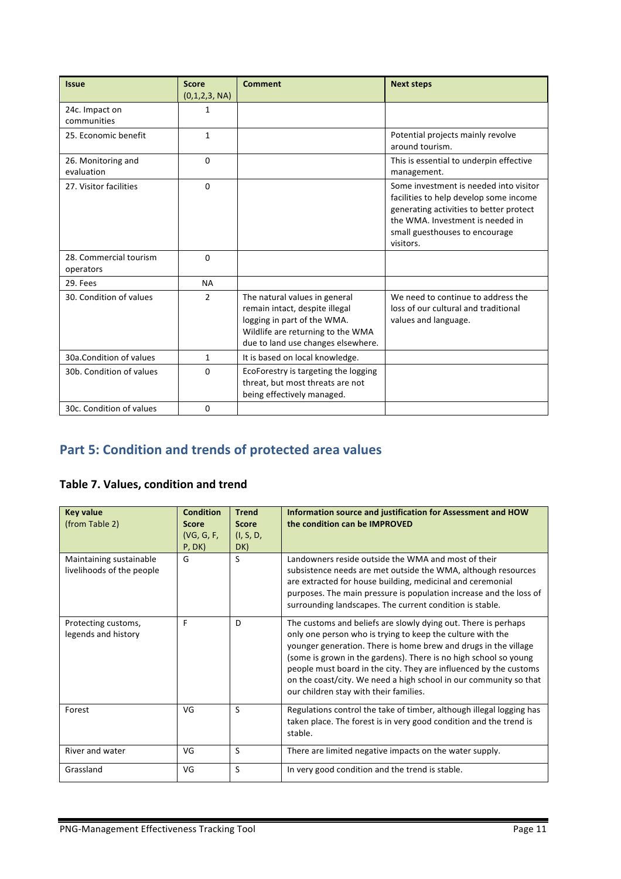| <b>Issue</b>                        | <b>Score</b><br>(0,1,2,3, NA) | <b>Comment</b>                                                                                                                                                            | <b>Next steps</b>                                                                                                                                                                                              |
|-------------------------------------|-------------------------------|---------------------------------------------------------------------------------------------------------------------------------------------------------------------------|----------------------------------------------------------------------------------------------------------------------------------------------------------------------------------------------------------------|
| 24c. Impact on<br>communities       | $\mathbf{1}$                  |                                                                                                                                                                           |                                                                                                                                                                                                                |
| 25. Economic benefit                | $\mathbf{1}$                  |                                                                                                                                                                           | Potential projects mainly revolve<br>around tourism.                                                                                                                                                           |
| 26. Monitoring and<br>evaluation    | $\Omega$                      |                                                                                                                                                                           | This is essential to underpin effective<br>management.                                                                                                                                                         |
| 27. Visitor facilities              | $\Omega$                      |                                                                                                                                                                           | Some investment is needed into visitor<br>facilities to help develop some income<br>generating activities to better protect<br>the WMA. Investment is needed in<br>small guesthouses to encourage<br>visitors. |
| 28. Commercial tourism<br>operators | $\Omega$                      |                                                                                                                                                                           |                                                                                                                                                                                                                |
| 29. Fees                            | <b>NA</b>                     |                                                                                                                                                                           |                                                                                                                                                                                                                |
| 30. Condition of values             | 2                             | The natural values in general<br>remain intact, despite illegal<br>logging in part of the WMA.<br>Wildlife are returning to the WMA<br>due to land use changes elsewhere. | We need to continue to address the<br>loss of our cultural and traditional<br>values and language.                                                                                                             |
| 30a.Condition of values             | $\mathbf{1}$                  | It is based on local knowledge.                                                                                                                                           |                                                                                                                                                                                                                |
| 30b. Condition of values            | $\Omega$                      | EcoForestry is targeting the logging<br>threat, but most threats are not<br>being effectively managed.                                                                    |                                                                                                                                                                                                                |
| 30c. Condition of values            | $\Omega$                      |                                                                                                                                                                           |                                                                                                                                                                                                                |

# **Part 5: Condition and trends of protected area values**

# **Table 7. Values, condition and trend**

| <b>Key value</b><br>(from Table 2)                   | <b>Condition</b><br><b>Score</b><br>(VG, G, F,<br>P, DK) | <b>Trend</b><br><b>Score</b><br>(I, S, D,<br>DK) | Information source and justification for Assessment and HOW<br>the condition can be IMPROVED                                                                                                                                                                                                                                                                                                                                                            |
|------------------------------------------------------|----------------------------------------------------------|--------------------------------------------------|---------------------------------------------------------------------------------------------------------------------------------------------------------------------------------------------------------------------------------------------------------------------------------------------------------------------------------------------------------------------------------------------------------------------------------------------------------|
| Maintaining sustainable<br>livelihoods of the people | G                                                        | S                                                | Landowners reside outside the WMA and most of their<br>subsistence needs are met outside the WMA, although resources<br>are extracted for house building, medicinal and ceremonial<br>purposes. The main pressure is population increase and the loss of<br>surrounding landscapes. The current condition is stable.                                                                                                                                    |
| Protecting customs,<br>legends and history           | F                                                        | D                                                | The customs and beliefs are slowly dying out. There is perhaps<br>only one person who is trying to keep the culture with the<br>younger generation. There is home brew and drugs in the village<br>(some is grown in the gardens). There is no high school so young<br>people must board in the city. They are influenced by the customs<br>on the coast/city. We need a high school in our community so that<br>our children stay with their families. |
| Forest                                               | VG                                                       | S                                                | Regulations control the take of timber, although illegal logging has<br>taken place. The forest is in very good condition and the trend is<br>stable.                                                                                                                                                                                                                                                                                                   |
| River and water                                      | VG                                                       | S                                                | There are limited negative impacts on the water supply.                                                                                                                                                                                                                                                                                                                                                                                                 |
| Grassland                                            | VG                                                       | S                                                | In very good condition and the trend is stable.                                                                                                                                                                                                                                                                                                                                                                                                         |